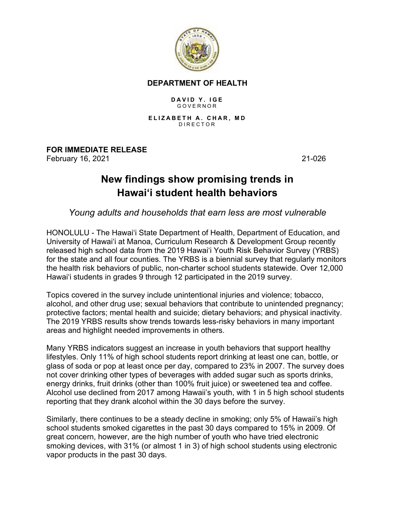

## **DEPARTMENT OF HEALTH**

## **DAVID Y. IGE** GOVERNOR

**ELIZABETH A. CHAR, MD** DIRECTOR

**FOR IMMEDIATE RELEASE** February 16, 2021 21-026

## **New findings show promising trends in Hawai'i student health behaviors**

## *Young adults and households that earn less are most vulnerable*

HONOLULU - The Hawai'i State Department of Health, Department of Education, and University of Hawai'i at Manoa, Curriculum Research & Development Group recently released high school data from the 2019 Hawai'i Youth Risk Behavior Survey (YRBS) for the state and all four counties. The YRBS is a biennial survey that regularly monitors the health risk behaviors of public, non-charter school students statewide. Over 12,000 Hawai'i students in grades 9 through 12 participated in the 2019 survey.

Topics covered in the survey include unintentional injuries and violence; tobacco, alcohol, and other drug use; sexual behaviors that contribute to unintended pregnancy; protective factors; mental health and suicide; dietary behaviors; and physical inactivity. The 2019 YRBS results show trends towards less-risky behaviors in many important areas and highlight needed improvements in others.

Many YRBS indicators suggest an increase in youth behaviors that support healthy lifestyles. Only 11% of high school students report drinking at least one can, bottle, or glass of soda or pop at least once per day, compared to 23% in 2007. The survey does not cover drinking other types of beverages with added sugar such as sports drinks, energy drinks, fruit drinks (other than 100% fruit juice) or sweetened tea and coffee. Alcohol use declined from 2017 among Hawaii's youth, with 1 in 5 high school students reporting that they drank alcohol within the 30 days before the survey.

Similarly, there continues to be a steady decline in smoking; only 5% of Hawaii's high school students smoked cigarettes in the past 30 days compared to 15% in 2009. Of great concern, however, are the high number of youth who have tried electronic smoking devices, with 31% (or almost 1 in 3) of high school students using electronic vapor products in the past 30 days.